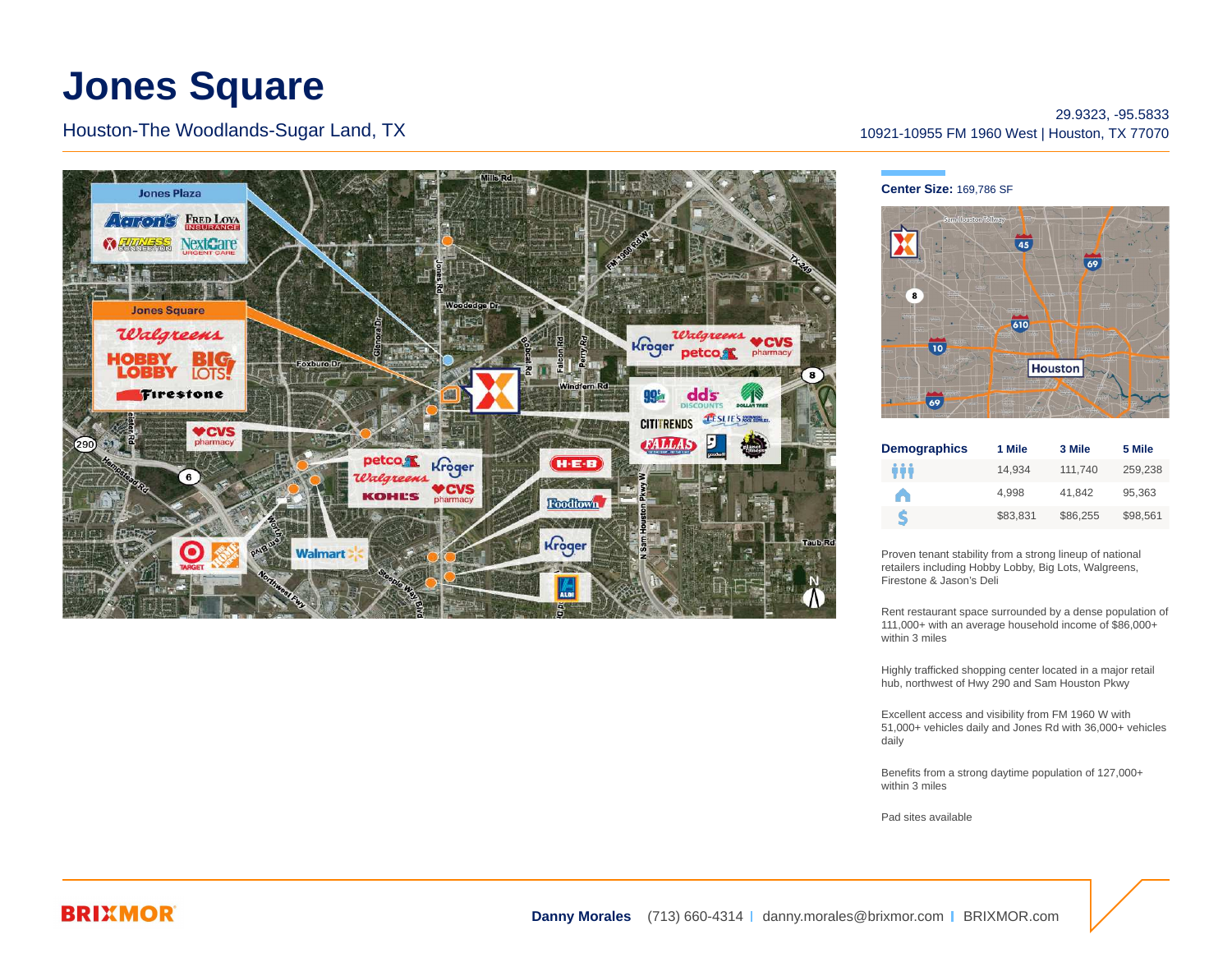# **Jones Square**

Houston-The Woodlands-Sugar Land, TX



29.9323, -95.5833 10921-10955 FM 1960 West | Houston, TX 77070

#### **Center Size:** 169,786 SF



| <b>Demographics</b> | 1 Mile   | 3 Mile   | 5 Mile   |
|---------------------|----------|----------|----------|
| ŵ                   | 14.934   | 111.740  | 259.238  |
| A                   | 4.998    | 41.842   | 95.363   |
| S                   | \$83.831 | \$86.255 | \$98.561 |

Proven tenant stability from a strong lineup of national retailers including Hobby Lobby, Big Lots, Walgreens, Firestone & Jason's Deli

Rent restaurant space surrounded by a dense population of 111,000+ with an average household income of \$86,000+ within 3 miles

Highly trafficked shopping center located in a major retail hub, northwest of Hwy 290 and Sam Houston Pkwy

Excellent access and visibility from FM 1960 W with 51,000+ vehicles daily and Jones Rd with 36,000+ vehicles daily

Benefits from a strong daytime population of 127,000+ within 3 miles

[Pad sites](http://properties.brixmor.com/cre/commercial-real-estate-listings/houston/texas/jones-square/plans) available

## **BRIXMOR**